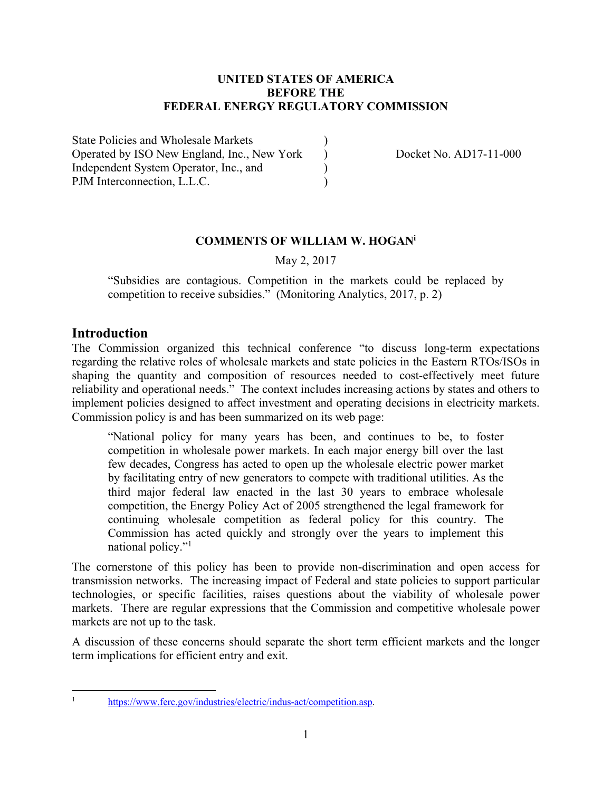#### **UNITED STATES OF AMERICA BEFORE THE FEDERAL ENERGY REGULATORY COMMISSION**

State Policies and Wholesale Markets ) Operated by ISO New England, Inc., New York <br>Docket No. AD17-11-000 Independent System Operator, Inc., and ) PJM Interconnection, L.L.C.

### **COMMENTS OF WILLIAM W. HOGANi**

May 2, 2017

"Subsidies are contagious. Competition in the markets could be replaced by competition to receive subsidies." (Monitoring Analytics, 2017, p. 2)

### **Introduction**

The Commission organized this technical conference "to discuss long-term expectations regarding the relative roles of wholesale markets and state policies in the Eastern RTOs/ISOs in shaping the quantity and composition of resources needed to cost-effectively meet future reliability and operational needs." The context includes increasing actions by states and others to implement policies designed to affect investment and operating decisions in electricity markets. Commission policy is and has been summarized on its web page:

"National policy for many years has been, and continues to be, to foster competition in wholesale power markets. In each major energy bill over the last few decades, Congress has acted to open up the wholesale electric power market by facilitating entry of new generators to compete with traditional utilities. As the third major federal law enacted in the last 30 years to embrace wholesale competition, the Energy Policy Act of 2005 strengthened the legal framework for continuing wholesale competition as federal policy for this country. The Commission has acted quickly and strongly over the years to implement this national policy."

The cornerstone of this policy has been to provide non-discrimination and open access for transmission networks. The increasing impact of Federal and state policies to support particular technologies, or specific facilities, raises questions about the viability of wholesale power markets. There are regular expressions that the Commission and competitive wholesale power markets are not up to the task.

A discussion of these concerns should separate the short term efficient markets and the longer term implications for efficient entry and exit.

 $\frac{1}{1}$ 

https://www.ferc.gov/industries/electric/indus-act/competition.asp.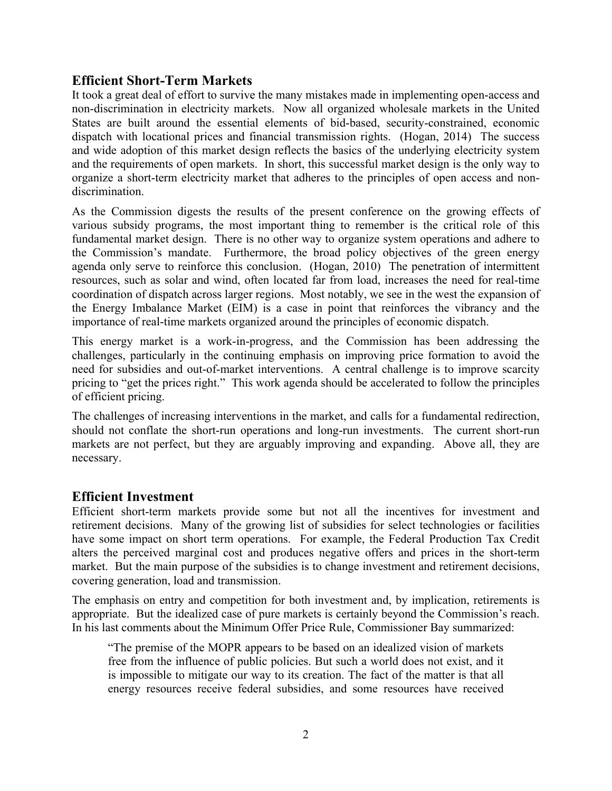## **Efficient Short-Term Markets**

It took a great deal of effort to survive the many mistakes made in implementing open-access and non-discrimination in electricity markets. Now all organized wholesale markets in the United States are built around the essential elements of bid-based, security-constrained, economic dispatch with locational prices and financial transmission rights. (Hogan, 2014) The success and wide adoption of this market design reflects the basics of the underlying electricity system and the requirements of open markets. In short, this successful market design is the only way to organize a short-term electricity market that adheres to the principles of open access and nondiscrimination.

As the Commission digests the results of the present conference on the growing effects of various subsidy programs, the most important thing to remember is the critical role of this fundamental market design. There is no other way to organize system operations and adhere to the Commission's mandate. Furthermore, the broad policy objectives of the green energy agenda only serve to reinforce this conclusion. (Hogan, 2010) The penetration of intermittent resources, such as solar and wind, often located far from load, increases the need for real-time coordination of dispatch across larger regions. Most notably, we see in the west the expansion of the Energy Imbalance Market (EIM) is a case in point that reinforces the vibrancy and the importance of real-time markets organized around the principles of economic dispatch.

This energy market is a work-in-progress, and the Commission has been addressing the challenges, particularly in the continuing emphasis on improving price formation to avoid the need for subsidies and out-of-market interventions. A central challenge is to improve scarcity pricing to "get the prices right." This work agenda should be accelerated to follow the principles of efficient pricing.

The challenges of increasing interventions in the market, and calls for a fundamental redirection, should not conflate the short-run operations and long-run investments. The current short-run markets are not perfect, but they are arguably improving and expanding. Above all, they are necessary.

## **Efficient Investment**

Efficient short-term markets provide some but not all the incentives for investment and retirement decisions. Many of the growing list of subsidies for select technologies or facilities have some impact on short term operations. For example, the Federal Production Tax Credit alters the perceived marginal cost and produces negative offers and prices in the short-term market. But the main purpose of the subsidies is to change investment and retirement decisions, covering generation, load and transmission.

The emphasis on entry and competition for both investment and, by implication, retirements is appropriate. But the idealized case of pure markets is certainly beyond the Commission's reach. In his last comments about the Minimum Offer Price Rule, Commissioner Bay summarized:

"The premise of the MOPR appears to be based on an idealized vision of markets free from the influence of public policies. But such a world does not exist, and it is impossible to mitigate our way to its creation. The fact of the matter is that all energy resources receive federal subsidies, and some resources have received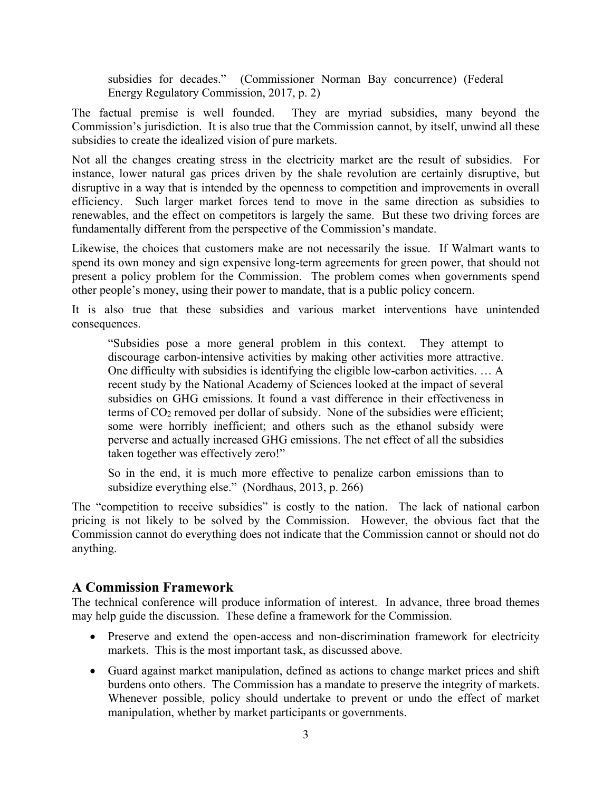subsidies for decades." (Commissioner Norman Bay concurrence) (Federal Energy Regulatory Commission, 2017, p. 2)

The factual premise is well founded. They are myriad subsidies, many beyond the Commission's jurisdiction. It is also true that the Commission cannot, by itself, unwind all these subsidies to create the idealized vision of pure markets.

Not all the changes creating stress in the electricity market are the result of subsidies. For instance, lower natural gas prices driven by the shale revolution are certainly disruptive, but disruptive in a way that is intended by the openness to competition and improvements in overall efficiency. Such larger market forces tend to move in the same direction as subsidies to renewables, and the effect on competitors is largely the same. But these two driving forces are fundamentally different from the perspective of the Commission's mandate.

Likewise, the choices that customers make are not necessarily the issue. If Walmart wants to spend its own money and sign expensive long-term agreements for green power, that should not present a policy problem for the Commission. The problem comes when governments spend other people's money, using their power to mandate, that is a public policy concern.

It is also true that these subsidies and various market interventions have unintended consequences.

"Subsidies pose a more general problem in this context. They attempt to discourage carbon-intensive activities by making other activities more attractive. One difficulty with subsidies is identifying the eligible low-carbon activities. … A recent study by the National Academy of Sciences looked at the impact of several subsidies on GHG emissions. It found a vast difference in their effectiveness in terms of CO2 removed per dollar of subsidy. None of the subsidies were efficient; some were horribly inefficient; and others such as the ethanol subsidy were perverse and actually increased GHG emissions. The net effect of all the subsidies taken together was effectively zero!"

So in the end, it is much more effective to penalize carbon emissions than to subsidize everything else." (Nordhaus, 2013, p. 266)

The "competition to receive subsidies" is costly to the nation. The lack of national carbon pricing is not likely to be solved by the Commission. However, the obvious fact that the Commission cannot do everything does not indicate that the Commission cannot or should not do anything.

# **A Commission Framework**

The technical conference will produce information of interest. In advance, three broad themes may help guide the discussion. These define a framework for the Commission.

- Preserve and extend the open-access and non-discrimination framework for electricity markets. This is the most important task, as discussed above.
- Guard against market manipulation, defined as actions to change market prices and shift burdens onto others. The Commission has a mandate to preserve the integrity of markets. Whenever possible, policy should undertake to prevent or undo the effect of market manipulation, whether by market participants or governments.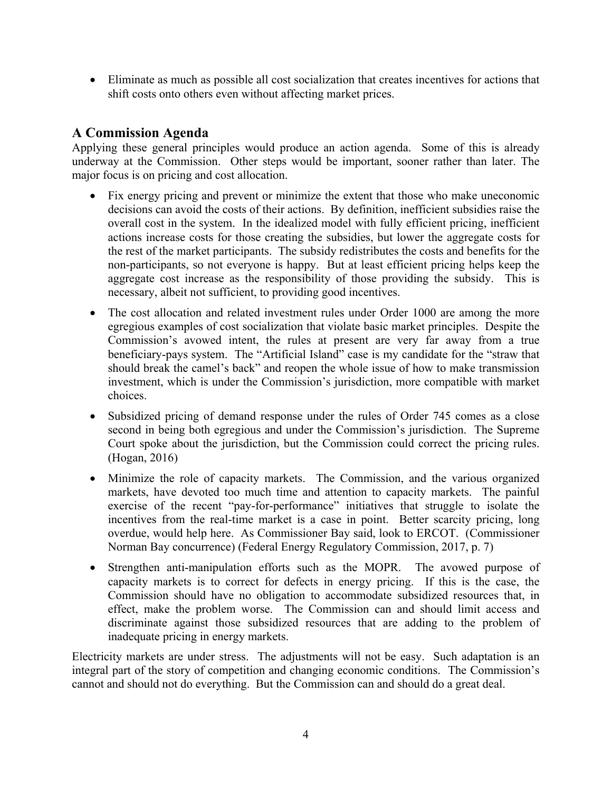Eliminate as much as possible all cost socialization that creates incentives for actions that shift costs onto others even without affecting market prices.

# **A Commission Agenda**

Applying these general principles would produce an action agenda. Some of this is already underway at the Commission. Other steps would be important, sooner rather than later. The major focus is on pricing and cost allocation.

- Fix energy pricing and prevent or minimize the extent that those who make uneconomic decisions can avoid the costs of their actions. By definition, inefficient subsidies raise the overall cost in the system. In the idealized model with fully efficient pricing, inefficient actions increase costs for those creating the subsidies, but lower the aggregate costs for the rest of the market participants. The subsidy redistributes the costs and benefits for the non-participants, so not everyone is happy. But at least efficient pricing helps keep the aggregate cost increase as the responsibility of those providing the subsidy. This is necessary, albeit not sufficient, to providing good incentives.
- The cost allocation and related investment rules under Order 1000 are among the more egregious examples of cost socialization that violate basic market principles. Despite the Commission's avowed intent, the rules at present are very far away from a true beneficiary-pays system. The "Artificial Island" case is my candidate for the "straw that should break the camel's back" and reopen the whole issue of how to make transmission investment, which is under the Commission's jurisdiction, more compatible with market choices.
- Subsidized pricing of demand response under the rules of Order 745 comes as a close second in being both egregious and under the Commission's jurisdiction. The Supreme Court spoke about the jurisdiction, but the Commission could correct the pricing rules. (Hogan, 2016)
- Minimize the role of capacity markets. The Commission, and the various organized markets, have devoted too much time and attention to capacity markets. The painful exercise of the recent "pay-for-performance" initiatives that struggle to isolate the incentives from the real-time market is a case in point. Better scarcity pricing, long overdue, would help here. As Commissioner Bay said, look to ERCOT. (Commissioner Norman Bay concurrence) (Federal Energy Regulatory Commission, 2017, p. 7)
- Strengthen anti-manipulation efforts such as the MOPR. The avowed purpose of capacity markets is to correct for defects in energy pricing. If this is the case, the Commission should have no obligation to accommodate subsidized resources that, in effect, make the problem worse. The Commission can and should limit access and discriminate against those subsidized resources that are adding to the problem of inadequate pricing in energy markets.

Electricity markets are under stress. The adjustments will not be easy. Such adaptation is an integral part of the story of competition and changing economic conditions. The Commission's cannot and should not do everything. But the Commission can and should do a great deal.